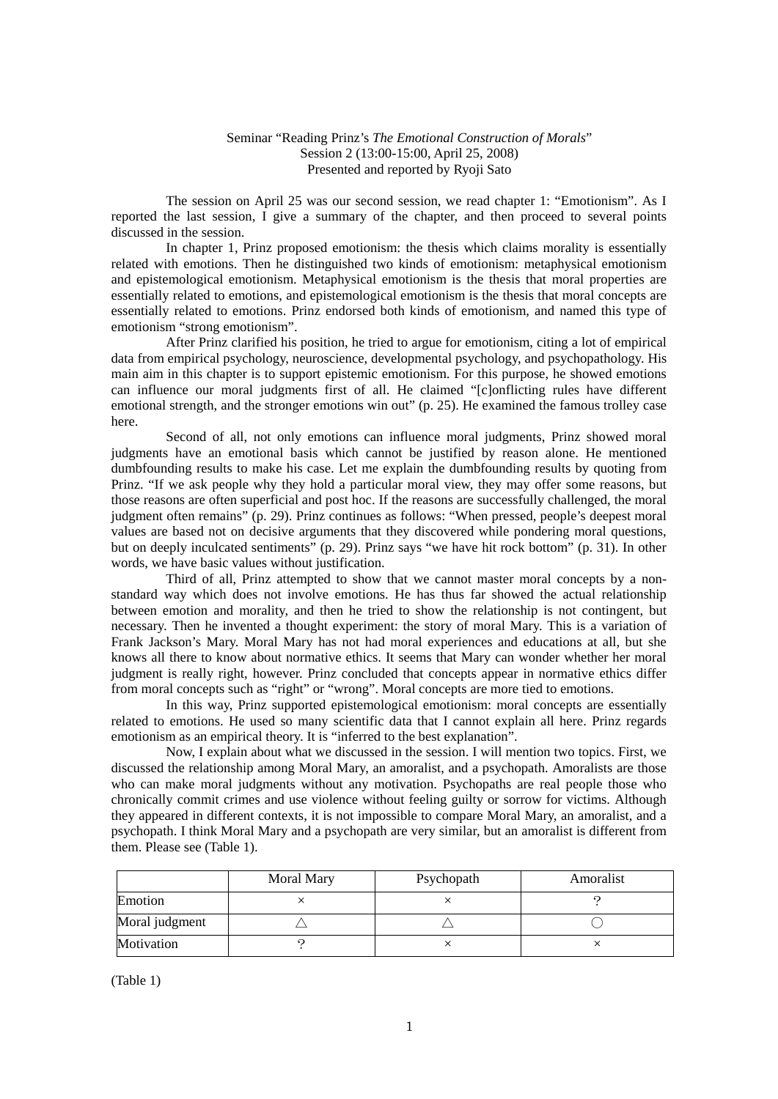## Seminar "Reading Prinz's *The Emotional Construction of Morals*" Session 2 (13:00-15:00, April 25, 2008) Presented and reported by Ryoji Sato

 The session on April 25 was our second session, we read chapter 1: "Emotionism". As I reported the last session, I give a summary of the chapter, and then proceed to several points discussed in the session.

 In chapter 1, Prinz proposed emotionism: the thesis which claims morality is essentially related with emotions. Then he distinguished two kinds of emotionism: metaphysical emotionism and epistemological emotionism. Metaphysical emotionism is the thesis that moral properties are essentially related to emotions, and epistemological emotionism is the thesis that moral concepts are essentially related to emotions. Prinz endorsed both kinds of emotionism, and named this type of emotionism "strong emotionism".

 After Prinz clarified his position, he tried to argue for emotionism, citing a lot of empirical data from empirical psychology, neuroscience, developmental psychology, and psychopathology. His main aim in this chapter is to support epistemic emotionism. For this purpose, he showed emotions can influence our moral judgments first of all. He claimed "[c]onflicting rules have different emotional strength, and the stronger emotions win out" (p. 25). He examined the famous trolley case here.

 Second of all, not only emotions can influence moral judgments, Prinz showed moral judgments have an emotional basis which cannot be justified by reason alone. He mentioned dumbfounding results to make his case. Let me explain the dumbfounding results by quoting from Prinz. "If we ask people why they hold a particular moral view, they may offer some reasons, but those reasons are often superficial and post hoc. If the reasons are successfully challenged, the moral judgment often remains" (p. 29). Prinz continues as follows: "When pressed, people's deepest moral values are based not on decisive arguments that they discovered while pondering moral questions, but on deeply inculcated sentiments" (p. 29). Prinz says "we have hit rock bottom" (p. 31). In other words, we have basic values without justification.

 Third of all, Prinz attempted to show that we cannot master moral concepts by a nonstandard way which does not involve emotions. He has thus far showed the actual relationship between emotion and morality, and then he tried to show the relationship is not contingent, but necessary. Then he invented a thought experiment: the story of moral Mary. This is a variation of Frank Jackson's Mary. Moral Mary has not had moral experiences and educations at all, but she knows all there to know about normative ethics. It seems that Mary can wonder whether her moral judgment is really right, however. Prinz concluded that concepts appear in normative ethics differ from moral concepts such as "right" or "wrong". Moral concepts are more tied to emotions.

 In this way, Prinz supported epistemological emotionism: moral concepts are essentially related to emotions. He used so many scientific data that I cannot explain all here. Prinz regards emotionism as an empirical theory. It is "inferred to the best explanation".

 Now, I explain about what we discussed in the session. I will mention two topics. First, we discussed the relationship among Moral Mary, an amoralist, and a psychopath. Amoralists are those who can make moral judgments without any motivation. Psychopaths are real people those who chronically commit crimes and use violence without feeling guilty or sorrow for victims. Although they appeared in different contexts, it is not impossible to compare Moral Mary, an amoralist, and a psychopath. I think Moral Mary and a psychopath are very similar, but an amoralist is different from them. Please see (Table 1).

|                | Moral Mary | Psychopath | Amoralist |
|----------------|------------|------------|-----------|
| Emotion        |            |            |           |
| Moral judgment |            |            |           |
| Motivation     |            |            |           |

(Table 1)